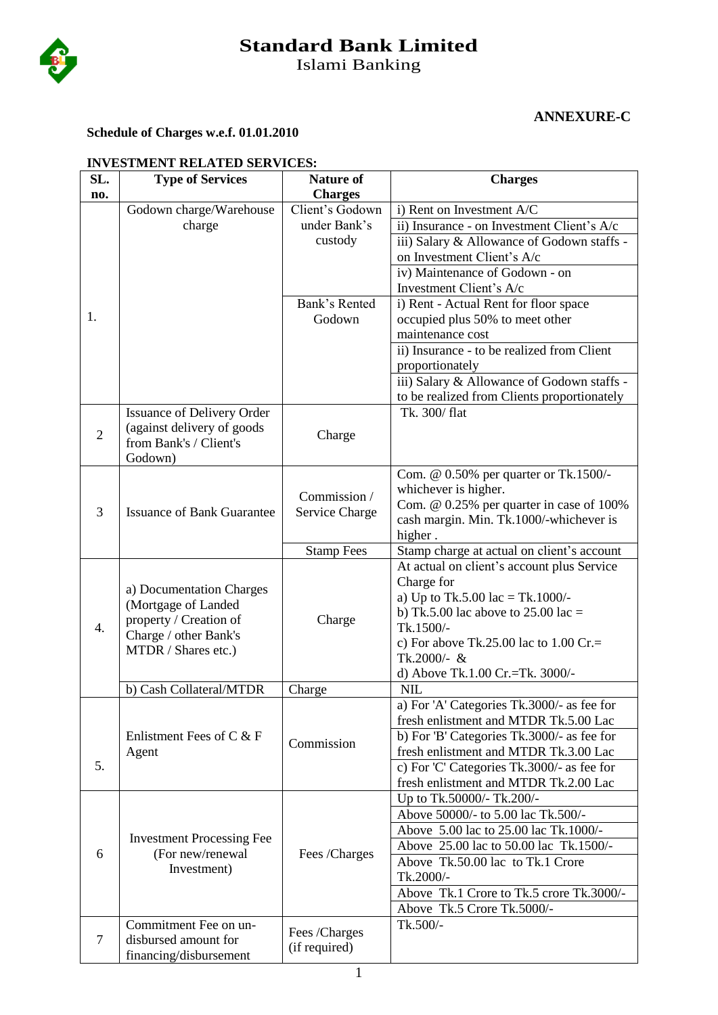

# **Standard Bank Limited**

Islami Banking

# **ANNEXURE-C**

#### **Schedule of Charges w.e.f. 01.01.2010**

| INVESTMENT RELATED SERVICES: |                                   |                   |                                             |  |  |  |
|------------------------------|-----------------------------------|-------------------|---------------------------------------------|--|--|--|
| SL.                          | <b>Type of Services</b>           | <b>Nature of</b>  | <b>Charges</b>                              |  |  |  |
| no.                          |                                   | <b>Charges</b>    |                                             |  |  |  |
|                              | Godown charge/Warehouse           | Client's Godown   | i) Rent on Investment A/C                   |  |  |  |
|                              | charge                            | under Bank's      | ii) Insurance - on Investment Client's A/c  |  |  |  |
|                              |                                   | custody           | iii) Salary & Allowance of Godown staffs -  |  |  |  |
|                              |                                   |                   | on Investment Client's A/c                  |  |  |  |
|                              |                                   |                   | iv) Maintenance of Godown - on              |  |  |  |
|                              |                                   |                   | Investment Client's A/c                     |  |  |  |
|                              |                                   | Bank's Rented     | i) Rent - Actual Rent for floor space       |  |  |  |
| 1.                           |                                   | Godown            | occupied plus 50% to meet other             |  |  |  |
|                              |                                   |                   | maintenance cost                            |  |  |  |
|                              |                                   |                   | ii) Insurance - to be realized from Client  |  |  |  |
|                              |                                   |                   | proportionately                             |  |  |  |
|                              |                                   |                   |                                             |  |  |  |
|                              |                                   |                   | iii) Salary & Allowance of Godown staffs -  |  |  |  |
|                              |                                   |                   | to be realized from Clients proportionately |  |  |  |
|                              | <b>Issuance of Delivery Order</b> |                   | Tk. 300/ flat                               |  |  |  |
| $\overline{2}$               | (against delivery of goods        | Charge            |                                             |  |  |  |
|                              | from Bank's / Client's            |                   |                                             |  |  |  |
|                              | Godown)                           |                   |                                             |  |  |  |
|                              |                                   |                   | Com. @ 0.50% per quarter or Tk.1500/-       |  |  |  |
|                              |                                   | Commission /      | whichever is higher.                        |  |  |  |
| 3                            | <b>Issuance of Bank Guarantee</b> | Service Charge    | Com. @ 0.25% per quarter in case of 100%    |  |  |  |
|                              |                                   |                   | cash margin. Min. Tk.1000/-whichever is     |  |  |  |
|                              |                                   |                   | higher.                                     |  |  |  |
|                              |                                   | <b>Stamp Fees</b> | Stamp charge at actual on client's account  |  |  |  |
|                              |                                   |                   | At actual on client's account plus Service  |  |  |  |
|                              | a) Documentation Charges          |                   | Charge for                                  |  |  |  |
|                              | (Mortgage of Landed               |                   | a) Up to Tk.5.00 lac = Tk.1000/-            |  |  |  |
|                              | property / Creation of            |                   | b) Tk.5.00 lac above to $25.00$ lac =       |  |  |  |
| 4.                           | Charge / other Bank's             | Charge            | Tk.1500/-                                   |  |  |  |
|                              |                                   |                   | c) For above Tk.25.00 lac to $1.00$ Cr.=    |  |  |  |
|                              | MTDR / Shares etc.)               |                   | Tk.2000/- &                                 |  |  |  |
|                              |                                   |                   | d) Above Tk.1.00 Cr.=Tk. 3000/-             |  |  |  |
|                              | b) Cash Collateral/MTDR           | Charge            | <b>NIL</b>                                  |  |  |  |
|                              |                                   |                   | a) For 'A' Categories Tk.3000/- as fee for  |  |  |  |
|                              |                                   |                   | fresh enlistment and MTDR Tk.5.00 Lac       |  |  |  |
|                              | Enlistment Fees of C $&$ F        |                   | b) For 'B' Categories Tk.3000/- as fee for  |  |  |  |
|                              | Agent                             | Commission        | fresh enlistment and MTDR Tk.3.00 Lac       |  |  |  |
| 5.                           |                                   |                   | c) For 'C' Categories Tk.3000/- as fee for  |  |  |  |
|                              |                                   |                   | fresh enlistment and MTDR Tk.2.00 Lac       |  |  |  |
|                              |                                   |                   | Up to Tk.50000/- Tk.200/-                   |  |  |  |
|                              |                                   |                   | Above 50000/- to 5.00 lac Tk.500/-          |  |  |  |
|                              |                                   |                   | Above 5.00 lac to 25.00 lac Tk.1000/-       |  |  |  |
|                              | <b>Investment Processing Fee</b>  |                   | Above 25.00 lac to 50.00 lac Tk.1500/-      |  |  |  |
| 6                            | (For new/renewal                  | Fees /Charges     | Above Tk.50.00 lac to Tk.1 Crore            |  |  |  |
|                              | Investment)                       |                   | Tk.2000/-                                   |  |  |  |
|                              |                                   |                   | Above Tk.1 Crore to Tk.5 crore Tk.3000/-    |  |  |  |
|                              |                                   |                   | Above Tk.5 Crore Tk.5000/-                  |  |  |  |
|                              | Commitment Fee on un-             |                   | Tk.500/-                                    |  |  |  |
|                              | disbursed amount for              | Fees /Charges     |                                             |  |  |  |
| 7                            |                                   | (if required)     |                                             |  |  |  |
|                              | financing/disbursement            |                   |                                             |  |  |  |

## **INVESTMENT RELATED SERVICES:**